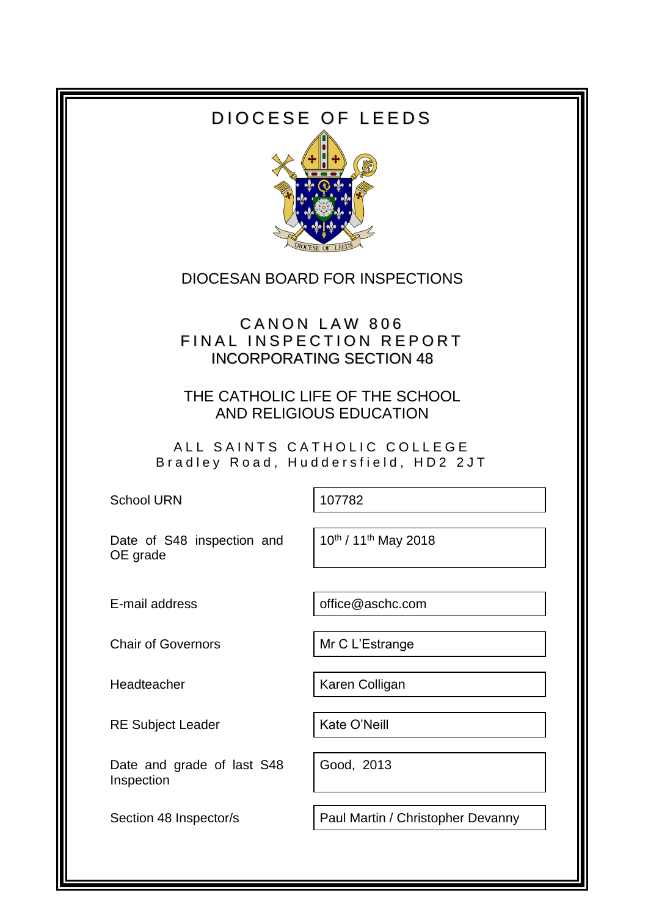# DIOCESE OF LEEDS



### DIOCESAN BOARD FOR INSPECTIONS

# CANON LAW 806 FINAL INSPECTION REPORT INCORPORATING SECTION 48

THE CATHOLIC LIFE OF THE SCHOOL AND RELIGIOUS EDUCATION

ALL SAINTS CATHOLIC COLLEGE Bradley Road, Huddersfield, HD2 2JT

School URN 107782

Date of S48 inspection and OE grade

10th / 11th May 2018

E-mail address **come office@aschc.com** 

Chair of Governors Mr C L'Estrange

RE Subject Leader | Kate O'Neill

Date and grade of last S48 Inspection

Headteacher **Karen Colligan** 

Good, 2013

Section 48 Inspector/s | Paul Martin / Christopher Devanny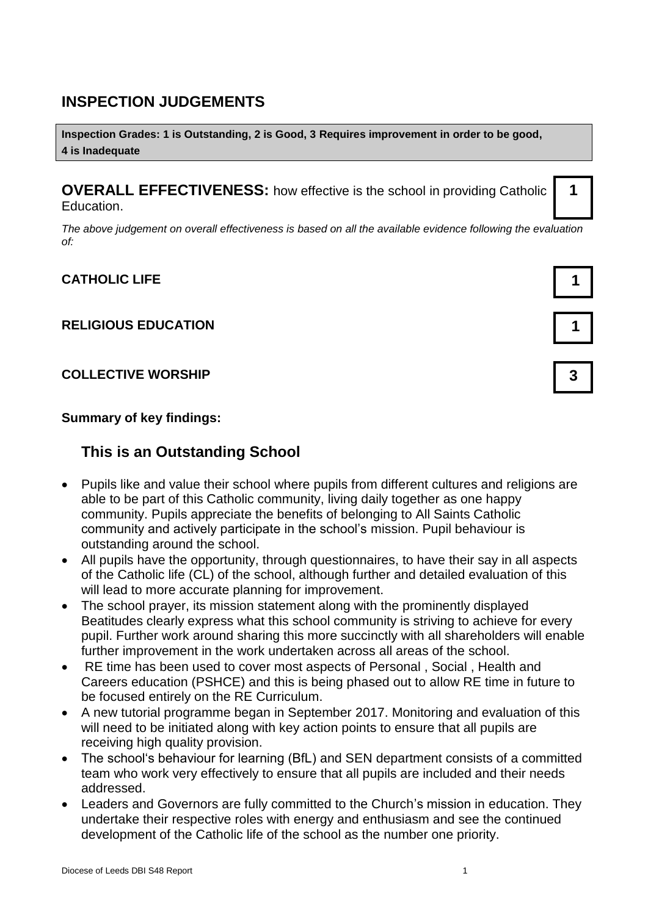### **INSPECTION JUDGEMENTS**

**Inspection Grades: 1 is Outstanding, 2 is Good, 3 Requires improvement in order to be good, 4 is Inadequate**

**OVERALL EFFECTIVENESS:** how effective is the school in providing Catholic Education.

*The above judgement on overall effectiveness is based on all the available evidence following the evaluation of:*

#### **CATHOLIC LIFE 1**

#### **RELIGIOUS EDUCATION 1**

#### **COLLECTIVE WORSHIP 3**

**Summary of key findings:**

### **This is an Outstanding School**

- Pupils like and value their school where pupils from different cultures and religions are able to be part of this Catholic community, living daily together as one happy community. Pupils appreciate the benefits of belonging to All Saints Catholic community and actively participate in the school's mission. Pupil behaviour is outstanding around the school.
- All pupils have the opportunity, through questionnaires, to have their say in all aspects of the Catholic life (CL) of the school, although further and detailed evaluation of this will lead to more accurate planning for improvement.
- The school prayer, its mission statement along with the prominently displayed Beatitudes clearly express what this school community is striving to achieve for every pupil. Further work around sharing this more succinctly with all shareholders will enable further improvement in the work undertaken across all areas of the school.
- RE time has been used to cover most aspects of Personal , Social , Health and Careers education (PSHCE) and this is being phased out to allow RE time in future to be focused entirely on the RE Curriculum.
- A new tutorial programme began in September 2017. Monitoring and evaluation of this will need to be initiated along with key action points to ensure that all pupils are receiving high quality provision.
- The school's behaviour for learning (BfL) and SEN department consists of a committed team who work very effectively to ensure that all pupils are included and their needs addressed.
- Leaders and Governors are fully committed to the Church's mission in education. They undertake their respective roles with energy and enthusiasm and see the continued development of the Catholic life of the school as the number one priority.



**1**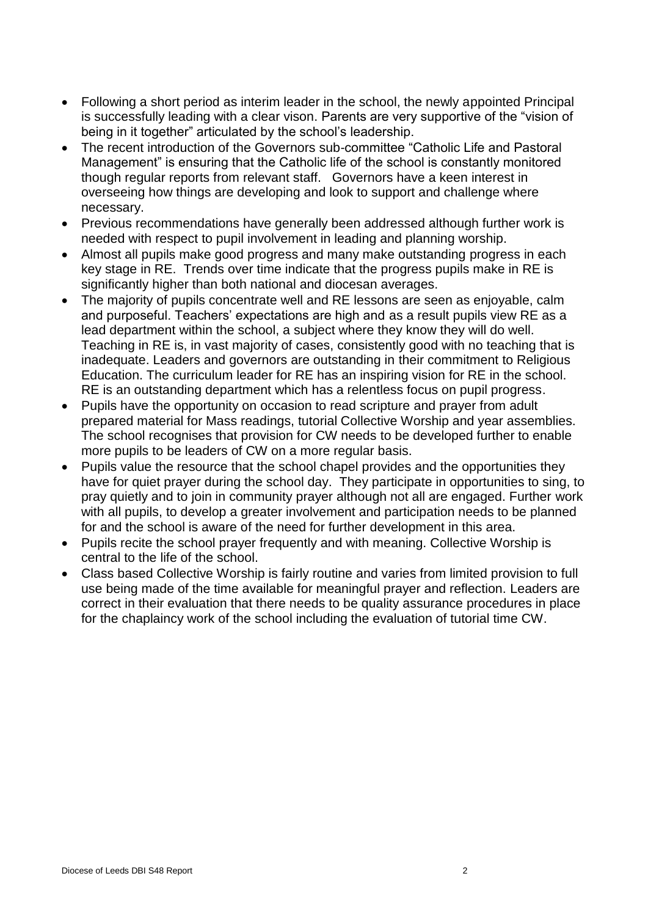- Following a short period as interim leader in the school, the newly appointed Principal is successfully leading with a clear vison. Parents are very supportive of the "vision of being in it together" articulated by the school's leadership.
- The recent introduction of the Governors sub-committee "Catholic Life and Pastoral Management" is ensuring that the Catholic life of the school is constantly monitored though regular reports from relevant staff. Governors have a keen interest in overseeing how things are developing and look to support and challenge where necessary.
- Previous recommendations have generally been addressed although further work is needed with respect to pupil involvement in leading and planning worship.
- Almost all pupils make good progress and many make outstanding progress in each key stage in RE. Trends over time indicate that the progress pupils make in RE is significantly higher than both national and diocesan averages.
- The majority of pupils concentrate well and RE lessons are seen as enjoyable, calm and purposeful. Teachers' expectations are high and as a result pupils view RE as a lead department within the school, a subject where they know they will do well. Teaching in RE is, in vast majority of cases, consistently good with no teaching that is inadequate. Leaders and governors are outstanding in their commitment to Religious Education. The curriculum leader for RE has an inspiring vision for RE in the school. RE is an outstanding department which has a relentless focus on pupil progress.
- Pupils have the opportunity on occasion to read scripture and prayer from adult prepared material for Mass readings, tutorial Collective Worship and year assemblies. The school recognises that provision for CW needs to be developed further to enable more pupils to be leaders of CW on a more regular basis.
- Pupils value the resource that the school chapel provides and the opportunities they have for quiet prayer during the school day. They participate in opportunities to sing, to pray quietly and to join in community prayer although not all are engaged. Further work with all pupils, to develop a greater involvement and participation needs to be planned for and the school is aware of the need for further development in this area.
- Pupils recite the school prayer frequently and with meaning. Collective Worship is central to the life of the school.
- Class based Collective Worship is fairly routine and varies from limited provision to full use being made of the time available for meaningful prayer and reflection. Leaders are correct in their evaluation that there needs to be quality assurance procedures in place for the chaplaincy work of the school including the evaluation of tutorial time CW.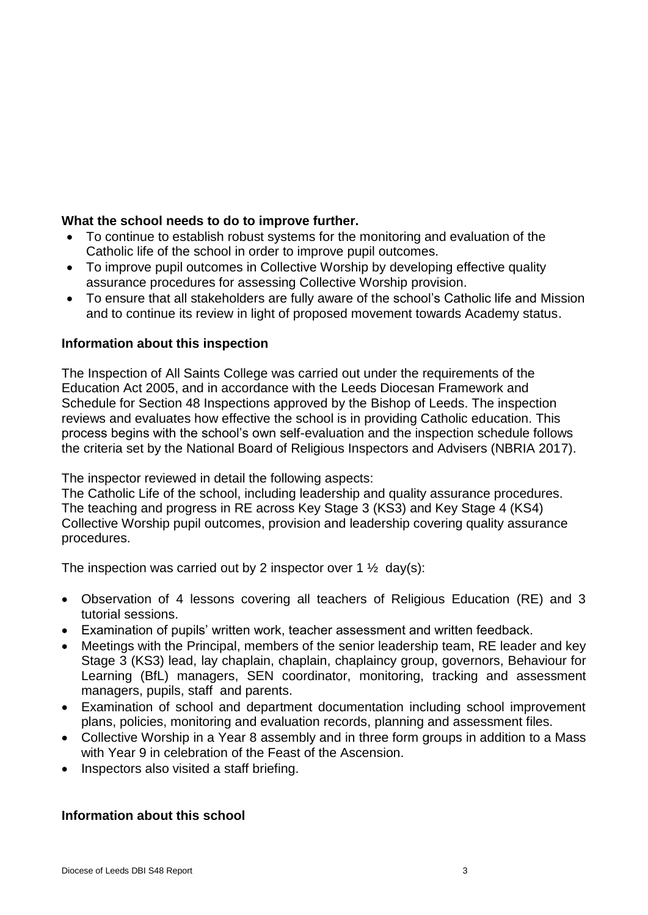#### **What the school needs to do to improve further.**

- To continue to establish robust systems for the monitoring and evaluation of the Catholic life of the school in order to improve pupil outcomes.
- To improve pupil outcomes in Collective Worship by developing effective quality assurance procedures for assessing Collective Worship provision.
- To ensure that all stakeholders are fully aware of the school's Catholic life and Mission and to continue its review in light of proposed movement towards Academy status.

#### **Information about this inspection**

The Inspection of All Saints College was carried out under the requirements of the Education Act 2005, and in accordance with the Leeds Diocesan Framework and Schedule for Section 48 Inspections approved by the Bishop of Leeds. The inspection reviews and evaluates how effective the school is in providing Catholic education. This process begins with the school's own self-evaluation and the inspection schedule follows the criteria set by the National Board of Religious Inspectors and Advisers (NBRIA 2017).

The inspector reviewed in detail the following aspects:

The Catholic Life of the school, including leadership and quality assurance procedures. The teaching and progress in RE across Key Stage 3 (KS3) and Key Stage 4 (KS4) Collective Worship pupil outcomes, provision and leadership covering quality assurance procedures.

The inspection was carried out by 2 inspector over  $1 \frac{1}{2}$  day(s):

- Observation of 4 lessons covering all teachers of Religious Education (RE) and 3 tutorial sessions.
- Examination of pupils' written work, teacher assessment and written feedback.
- Meetings with the Principal, members of the senior leadership team, RE leader and key Stage 3 (KS3) lead, lay chaplain, chaplain, chaplaincy group, governors, Behaviour for Learning (BfL) managers, SEN coordinator, monitoring, tracking and assessment managers, pupils, staff and parents.
- Examination of school and department documentation including school improvement plans, policies, monitoring and evaluation records, planning and assessment files.
- Collective Worship in a Year 8 assembly and in three form groups in addition to a Mass with Year 9 in celebration of the Feast of the Ascension.
- Inspectors also visited a staff briefing.

#### **Information about this school**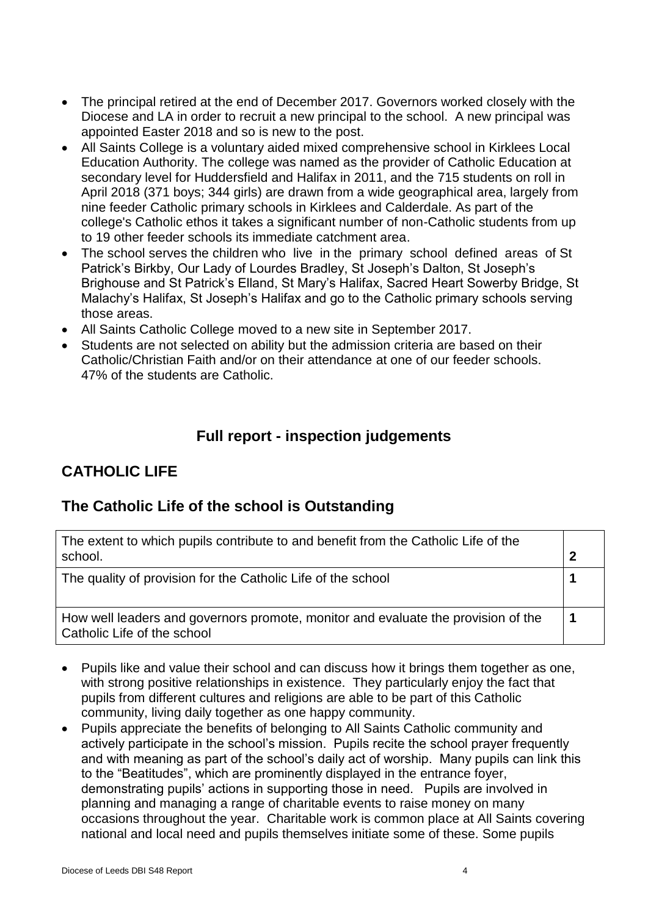- The principal retired at the end of December 2017. Governors worked closely with the Diocese and LA in order to recruit a new principal to the school. A new principal was appointed Easter 2018 and so is new to the post.
- All Saints College is a voluntary aided mixed comprehensive school in Kirklees Local Education Authority. The college was named as the provider of Catholic Education at secondary level for Huddersfield and Halifax in 2011, and the 715 students on roll in April 2018 (371 boys; 344 girls) are drawn from a wide geographical area, largely from nine feeder Catholic primary schools in Kirklees and Calderdale. As part of the college's Catholic ethos it takes a significant number of non-Catholic students from up to 19 other feeder schools its immediate catchment area.
- The school serves the children who live in the primary school defined areas of St Patrick's Birkby, Our Lady of Lourdes Bradley, St Joseph's Dalton, St Joseph's Brighouse and St Patrick's Elland, St Mary's Halifax, Sacred Heart Sowerby Bridge, St Malachy's Halifax, St Joseph's Halifax and go to the Catholic primary schools serving those areas.
- All Saints Catholic College moved to a new site in September 2017.
- Students are not selected on ability but the admission criteria are based on their Catholic/Christian Faith and/or on their attendance at one of our feeder schools. 47% of the students are Catholic.

### **Full report - inspection judgements**

# **CATHOLIC LIFE**

### **The Catholic Life of the school is Outstanding**

| The extent to which pupils contribute to and benefit from the Catholic Life of the<br>school.                    |  |
|------------------------------------------------------------------------------------------------------------------|--|
| The quality of provision for the Catholic Life of the school                                                     |  |
| How well leaders and governors promote, monitor and evaluate the provision of the<br>Catholic Life of the school |  |

- Pupils like and value their school and can discuss how it brings them together as one, with strong positive relationships in existence. They particularly enjoy the fact that pupils from different cultures and religions are able to be part of this Catholic community, living daily together as one happy community.
- Pupils appreciate the benefits of belonging to All Saints Catholic community and actively participate in the school's mission. Pupils recite the school prayer frequently and with meaning as part of the school's daily act of worship. Many pupils can link this to the "Beatitudes", which are prominently displayed in the entrance foyer, demonstrating pupils' actions in supporting those in need. Pupils are involved in planning and managing a range of charitable events to raise money on many occasions throughout the year. Charitable work is common place at All Saints covering national and local need and pupils themselves initiate some of these. Some pupils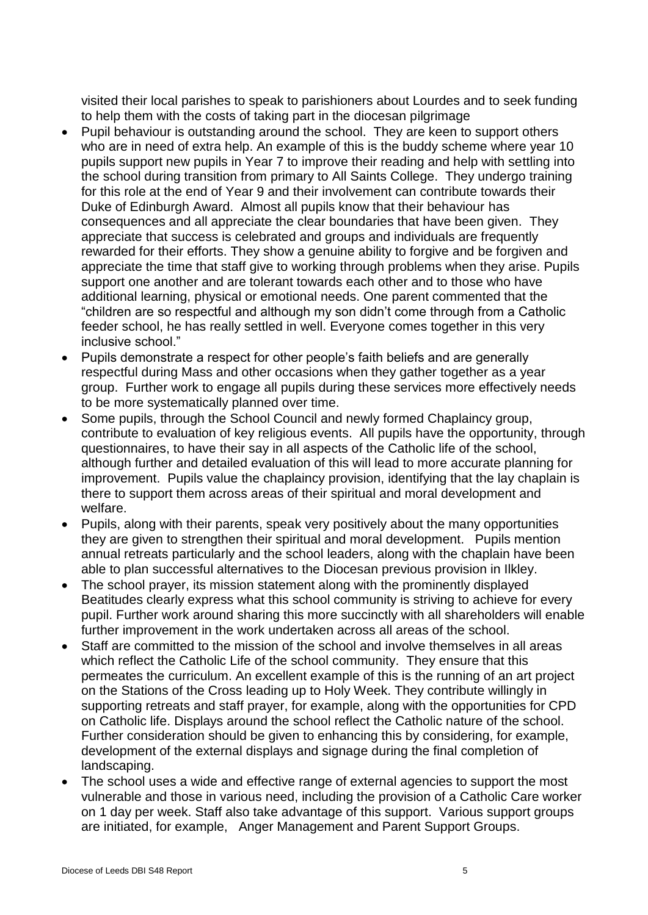visited their local parishes to speak to parishioners about Lourdes and to seek funding to help them with the costs of taking part in the diocesan pilgrimage

- Pupil behaviour is outstanding around the school. They are keen to support others who are in need of extra help. An example of this is the buddy scheme where year 10 pupils support new pupils in Year 7 to improve their reading and help with settling into the school during transition from primary to All Saints College. They undergo training for this role at the end of Year 9 and their involvement can contribute towards their Duke of Edinburgh Award. Almost all pupils know that their behaviour has consequences and all appreciate the clear boundaries that have been given. They appreciate that success is celebrated and groups and individuals are frequently rewarded for their efforts. They show a genuine ability to forgive and be forgiven and appreciate the time that staff give to working through problems when they arise. Pupils support one another and are tolerant towards each other and to those who have additional learning, physical or emotional needs. One parent commented that the "children are so respectful and although my son didn't come through from a Catholic feeder school, he has really settled in well. Everyone comes together in this very inclusive school."
- Pupils demonstrate a respect for other people's faith beliefs and are generally respectful during Mass and other occasions when they gather together as a year group. Further work to engage all pupils during these services more effectively needs to be more systematically planned over time.
- Some pupils, through the School Council and newly formed Chaplaincy group, contribute to evaluation of key religious events. All pupils have the opportunity, through questionnaires, to have their say in all aspects of the Catholic life of the school, although further and detailed evaluation of this will lead to more accurate planning for improvement. Pupils value the chaplaincy provision, identifying that the lay chaplain is there to support them across areas of their spiritual and moral development and welfare.
- Pupils, along with their parents, speak very positively about the many opportunities they are given to strengthen their spiritual and moral development. Pupils mention annual retreats particularly and the school leaders, along with the chaplain have been able to plan successful alternatives to the Diocesan previous provision in Ilkley.
- The school prayer, its mission statement along with the prominently displayed Beatitudes clearly express what this school community is striving to achieve for every pupil. Further work around sharing this more succinctly with all shareholders will enable further improvement in the work undertaken across all areas of the school.
- Staff are committed to the mission of the school and involve themselves in all areas which reflect the Catholic Life of the school community. They ensure that this permeates the curriculum. An excellent example of this is the running of an art project on the Stations of the Cross leading up to Holy Week. They contribute willingly in supporting retreats and staff prayer, for example, along with the opportunities for CPD on Catholic life. Displays around the school reflect the Catholic nature of the school. Further consideration should be given to enhancing this by considering, for example, development of the external displays and signage during the final completion of landscaping.
- The school uses a wide and effective range of external agencies to support the most vulnerable and those in various need, including the provision of a Catholic Care worker on 1 day per week. Staff also take advantage of this support. Various support groups are initiated, for example, Anger Management and Parent Support Groups.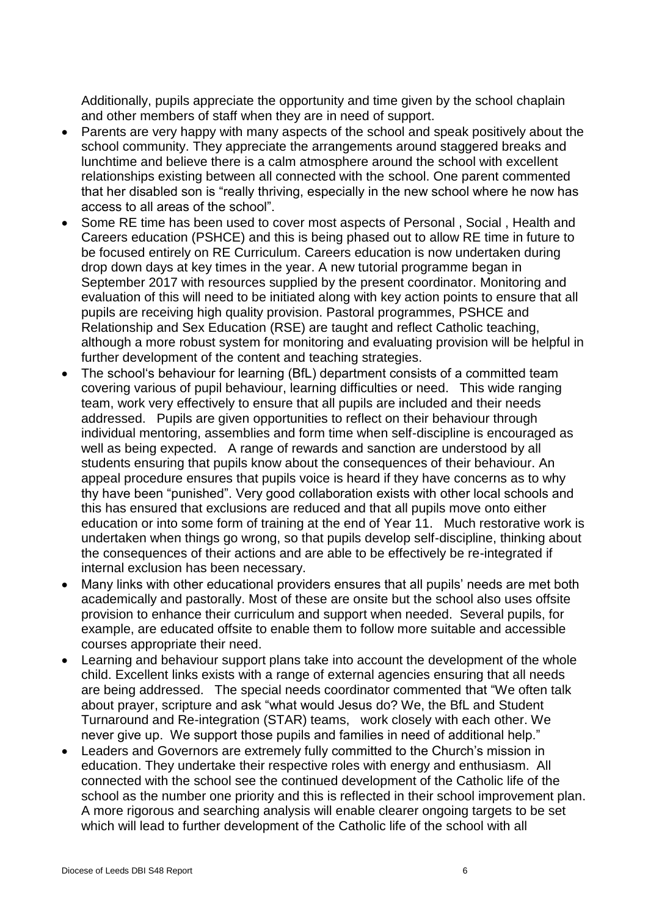Additionally, pupils appreciate the opportunity and time given by the school chaplain and other members of staff when they are in need of support.

- Parents are very happy with many aspects of the school and speak positively about the school community. They appreciate the arrangements around staggered breaks and lunchtime and believe there is a calm atmosphere around the school with excellent relationships existing between all connected with the school. One parent commented that her disabled son is "really thriving, especially in the new school where he now has access to all areas of the school".
- Some RE time has been used to cover most aspects of Personal , Social , Health and Careers education (PSHCE) and this is being phased out to allow RE time in future to be focused entirely on RE Curriculum. Careers education is now undertaken during drop down days at key times in the year. A new tutorial programme began in September 2017 with resources supplied by the present coordinator. Monitoring and evaluation of this will need to be initiated along with key action points to ensure that all pupils are receiving high quality provision. Pastoral programmes, PSHCE and Relationship and Sex Education (RSE) are taught and reflect Catholic teaching, although a more robust system for monitoring and evaluating provision will be helpful in further development of the content and teaching strategies.
- The school's behaviour for learning (BfL) department consists of a committed team covering various of pupil behaviour, learning difficulties or need. This wide ranging team, work very effectively to ensure that all pupils are included and their needs addressed. Pupils are given opportunities to reflect on their behaviour through individual mentoring, assemblies and form time when self-discipline is encouraged as well as being expected. A range of rewards and sanction are understood by all students ensuring that pupils know about the consequences of their behaviour. An appeal procedure ensures that pupils voice is heard if they have concerns as to why thy have been "punished". Very good collaboration exists with other local schools and this has ensured that exclusions are reduced and that all pupils move onto either education or into some form of training at the end of Year 11. Much restorative work is undertaken when things go wrong, so that pupils develop self-discipline, thinking about the consequences of their actions and are able to be effectively be re-integrated if internal exclusion has been necessary.
- Many links with other educational providers ensures that all pupils' needs are met both academically and pastorally. Most of these are onsite but the school also uses offsite provision to enhance their curriculum and support when needed. Several pupils, for example, are educated offsite to enable them to follow more suitable and accessible courses appropriate their need.
- Learning and behaviour support plans take into account the development of the whole child. Excellent links exists with a range of external agencies ensuring that all needs are being addressed. The special needs coordinator commented that "We often talk about prayer, scripture and ask "what would Jesus do? We, the BfL and Student Turnaround and Re-integration (STAR) teams, work closely with each other. We never give up. We support those pupils and families in need of additional help."
- Leaders and Governors are extremely fully committed to the Church's mission in education. They undertake their respective roles with energy and enthusiasm. All connected with the school see the continued development of the Catholic life of the school as the number one priority and this is reflected in their school improvement plan. A more rigorous and searching analysis will enable clearer ongoing targets to be set which will lead to further development of the Catholic life of the school with all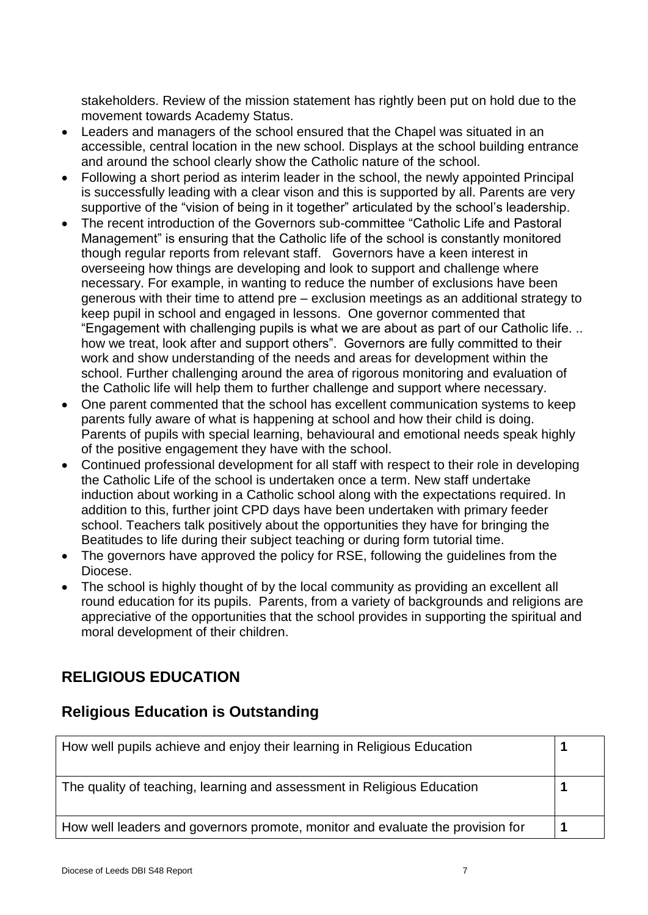stakeholders. Review of the mission statement has rightly been put on hold due to the movement towards Academy Status.

- Leaders and managers of the school ensured that the Chapel was situated in an accessible, central location in the new school. Displays at the school building entrance and around the school clearly show the Catholic nature of the school.
- Following a short period as interim leader in the school, the newly appointed Principal is successfully leading with a clear vison and this is supported by all. Parents are very supportive of the "vision of being in it together" articulated by the school's leadership.
- The recent introduction of the Governors sub-committee "Catholic Life and Pastoral Management" is ensuring that the Catholic life of the school is constantly monitored though regular reports from relevant staff. Governors have a keen interest in overseeing how things are developing and look to support and challenge where necessary. For example, in wanting to reduce the number of exclusions have been generous with their time to attend pre – exclusion meetings as an additional strategy to keep pupil in school and engaged in lessons. One governor commented that "Engagement with challenging pupils is what we are about as part of our Catholic life. .. how we treat, look after and support others". Governors are fully committed to their work and show understanding of the needs and areas for development within the school. Further challenging around the area of rigorous monitoring and evaluation of the Catholic life will help them to further challenge and support where necessary.
- One parent commented that the school has excellent communication systems to keep parents fully aware of what is happening at school and how their child is doing. Parents of pupils with special learning, behavioural and emotional needs speak highly of the positive engagement they have with the school.
- Continued professional development for all staff with respect to their role in developing the Catholic Life of the school is undertaken once a term. New staff undertake induction about working in a Catholic school along with the expectations required. In addition to this, further joint CPD days have been undertaken with primary feeder school. Teachers talk positively about the opportunities they have for bringing the Beatitudes to life during their subject teaching or during form tutorial time.
- The governors have approved the policy for RSE, following the quidelines from the Diocese.
- The school is highly thought of by the local community as providing an excellent all round education for its pupils. Parents, from a variety of backgrounds and religions are appreciative of the opportunities that the school provides in supporting the spiritual and moral development of their children.

# **RELIGIOUS EDUCATION**

### **Religious Education is Outstanding**

| How well pupils achieve and enjoy their learning in Religious Education        |  |
|--------------------------------------------------------------------------------|--|
| The quality of teaching, learning and assessment in Religious Education        |  |
| How well leaders and governors promote, monitor and evaluate the provision for |  |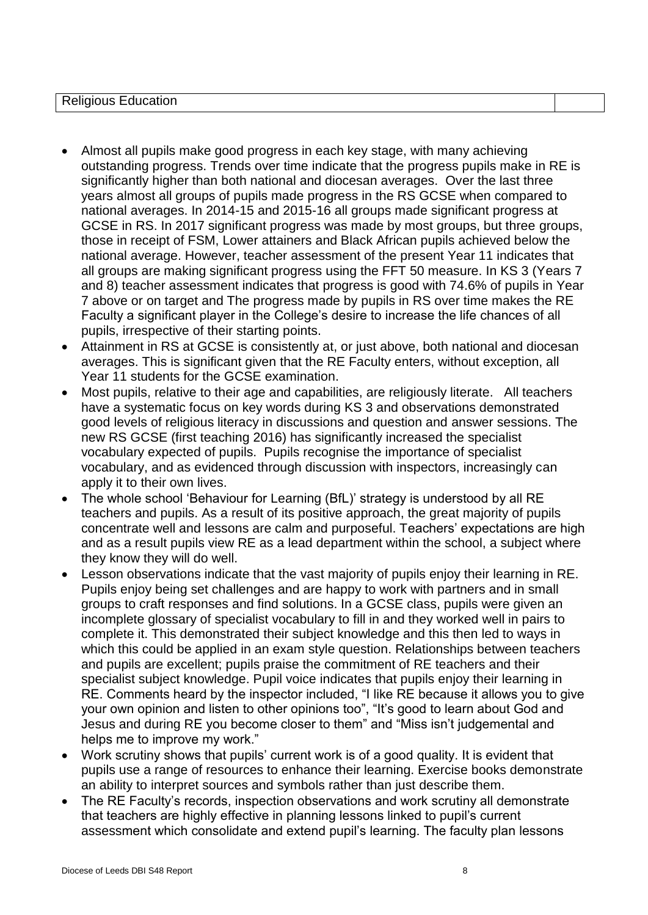Religious Education

- Almost all pupils make good progress in each key stage, with many achieving outstanding progress. Trends over time indicate that the progress pupils make in RE is significantly higher than both national and diocesan averages. Over the last three years almost all groups of pupils made progress in the RS GCSE when compared to national averages. In 2014-15 and 2015-16 all groups made significant progress at GCSE in RS. In 2017 significant progress was made by most groups, but three groups, those in receipt of FSM, Lower attainers and Black African pupils achieved below the national average. However, teacher assessment of the present Year 11 indicates that all groups are making significant progress using the FFT 50 measure. In KS 3 (Years 7 and 8) teacher assessment indicates that progress is good with 74.6% of pupils in Year 7 above or on target and The progress made by pupils in RS over time makes the RE Faculty a significant player in the College's desire to increase the life chances of all pupils, irrespective of their starting points.
- Attainment in RS at GCSE is consistently at, or just above, both national and diocesan averages. This is significant given that the RE Faculty enters, without exception, all Year 11 students for the GCSE examination.
- Most pupils, relative to their age and capabilities, are religiously literate. All teachers have a systematic focus on key words during KS 3 and observations demonstrated good levels of religious literacy in discussions and question and answer sessions. The new RS GCSE (first teaching 2016) has significantly increased the specialist vocabulary expected of pupils. Pupils recognise the importance of specialist vocabulary, and as evidenced through discussion with inspectors, increasingly can apply it to their own lives.
- The whole school 'Behaviour for Learning (BfL)' strategy is understood by all RE teachers and pupils. As a result of its positive approach, the great majority of pupils concentrate well and lessons are calm and purposeful. Teachers' expectations are high and as a result pupils view RE as a lead department within the school, a subject where they know they will do well.
- Lesson observations indicate that the vast majority of pupils enjoy their learning in RE. Pupils enjoy being set challenges and are happy to work with partners and in small groups to craft responses and find solutions. In a GCSE class, pupils were given an incomplete glossary of specialist vocabulary to fill in and they worked well in pairs to complete it. This demonstrated their subject knowledge and this then led to ways in which this could be applied in an exam style question. Relationships between teachers and pupils are excellent; pupils praise the commitment of RE teachers and their specialist subject knowledge. Pupil voice indicates that pupils enjoy their learning in RE. Comments heard by the inspector included, "I like RE because it allows you to give your own opinion and listen to other opinions too", "It's good to learn about God and Jesus and during RE you become closer to them" and "Miss isn't judgemental and helps me to improve my work."
- Work scrutiny shows that pupils' current work is of a good quality. It is evident that pupils use a range of resources to enhance their learning. Exercise books demonstrate an ability to interpret sources and symbols rather than just describe them.
- The RE Faculty's records, inspection observations and work scrutiny all demonstrate that teachers are highly effective in planning lessons linked to pupil's current assessment which consolidate and extend pupil's learning. The faculty plan lessons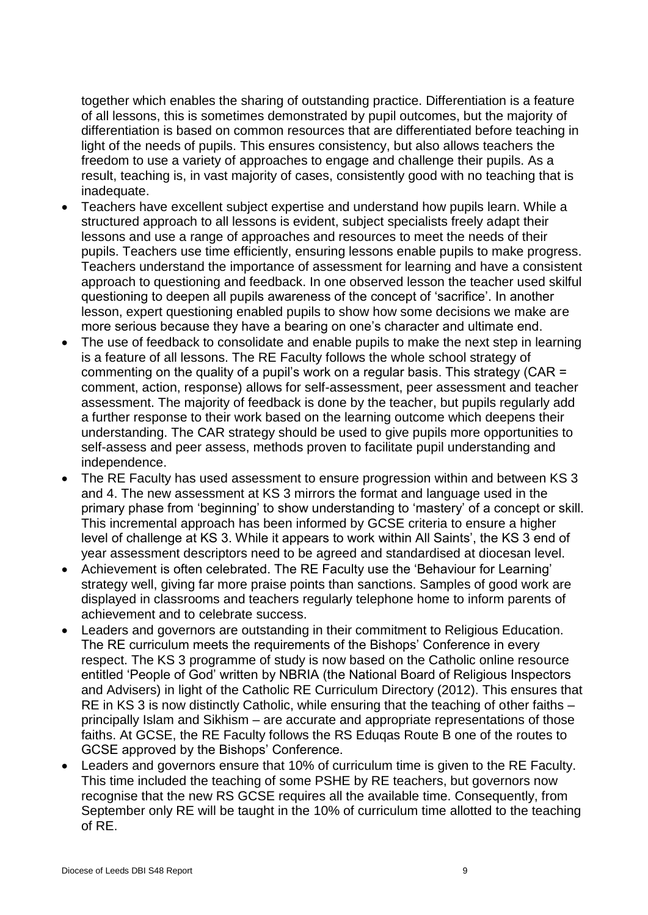together which enables the sharing of outstanding practice. Differentiation is a feature of all lessons, this is sometimes demonstrated by pupil outcomes, but the majority of differentiation is based on common resources that are differentiated before teaching in light of the needs of pupils. This ensures consistency, but also allows teachers the freedom to use a variety of approaches to engage and challenge their pupils. As a result, teaching is, in vast majority of cases, consistently good with no teaching that is inadequate.

- Teachers have excellent subject expertise and understand how pupils learn. While a structured approach to all lessons is evident, subject specialists freely adapt their lessons and use a range of approaches and resources to meet the needs of their pupils. Teachers use time efficiently, ensuring lessons enable pupils to make progress. Teachers understand the importance of assessment for learning and have a consistent approach to questioning and feedback. In one observed lesson the teacher used skilful questioning to deepen all pupils awareness of the concept of 'sacrifice'. In another lesson, expert questioning enabled pupils to show how some decisions we make are more serious because they have a bearing on one's character and ultimate end.
- The use of feedback to consolidate and enable pupils to make the next step in learning is a feature of all lessons. The RE Faculty follows the whole school strategy of commenting on the quality of a pupil's work on a regular basis. This strategy (CAR = comment, action, response) allows for self-assessment, peer assessment and teacher assessment. The majority of feedback is done by the teacher, but pupils regularly add a further response to their work based on the learning outcome which deepens their understanding. The CAR strategy should be used to give pupils more opportunities to self-assess and peer assess, methods proven to facilitate pupil understanding and independence.
- The RE Faculty has used assessment to ensure progression within and between KS 3 and 4. The new assessment at KS 3 mirrors the format and language used in the primary phase from 'beginning' to show understanding to 'mastery' of a concept or skill. This incremental approach has been informed by GCSE criteria to ensure a higher level of challenge at KS 3. While it appears to work within All Saints', the KS 3 end of year assessment descriptors need to be agreed and standardised at diocesan level.
- Achievement is often celebrated. The RE Faculty use the 'Behaviour for Learning' strategy well, giving far more praise points than sanctions. Samples of good work are displayed in classrooms and teachers regularly telephone home to inform parents of achievement and to celebrate success.
- Leaders and governors are outstanding in their commitment to Religious Education. The RE curriculum meets the requirements of the Bishops' Conference in every respect. The KS 3 programme of study is now based on the Catholic online resource entitled 'People of God' written by NBRIA (the National Board of Religious Inspectors and Advisers) in light of the Catholic RE Curriculum Directory (2012). This ensures that RE in KS 3 is now distinctly Catholic, while ensuring that the teaching of other faiths – principally Islam and Sikhism – are accurate and appropriate representations of those faiths. At GCSE, the RE Faculty follows the RS Eduqas Route B one of the routes to GCSE approved by the Bishops' Conference.
- Leaders and governors ensure that 10% of curriculum time is given to the RE Faculty. This time included the teaching of some PSHE by RE teachers, but governors now recognise that the new RS GCSE requires all the available time. Consequently, from September only RE will be taught in the 10% of curriculum time allotted to the teaching of RE.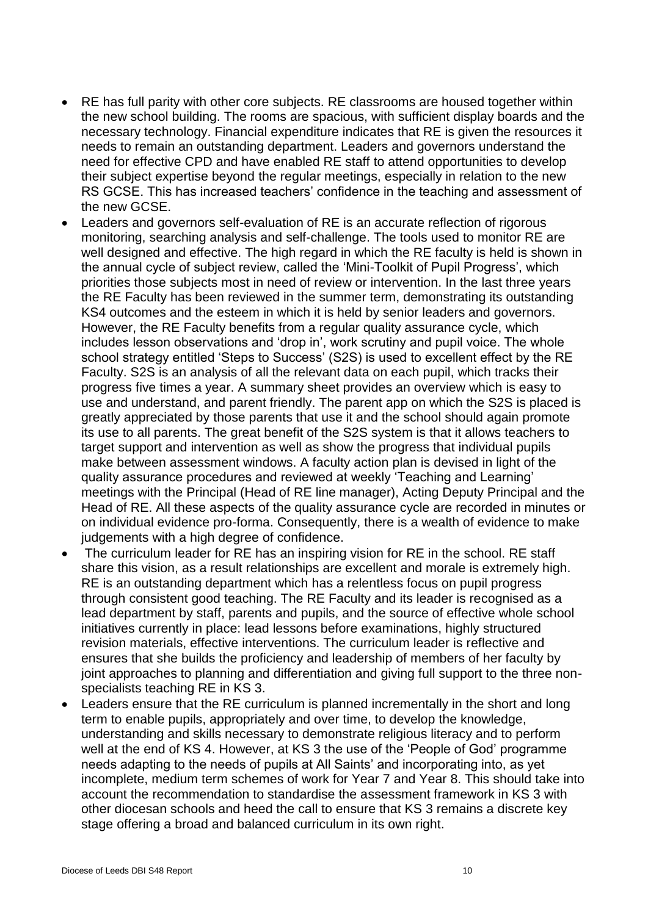- RE has full parity with other core subjects. RE classrooms are housed together within the new school building. The rooms are spacious, with sufficient display boards and the necessary technology. Financial expenditure indicates that RE is given the resources it needs to remain an outstanding department. Leaders and governors understand the need for effective CPD and have enabled RE staff to attend opportunities to develop their subject expertise beyond the regular meetings, especially in relation to the new RS GCSE. This has increased teachers' confidence in the teaching and assessment of the new GCSE.
- Leaders and governors self-evaluation of RE is an accurate reflection of rigorous monitoring, searching analysis and self-challenge. The tools used to monitor RE are well designed and effective. The high regard in which the RE faculty is held is shown in the annual cycle of subject review, called the 'Mini-Toolkit of Pupil Progress', which priorities those subjects most in need of review or intervention. In the last three years the RE Faculty has been reviewed in the summer term, demonstrating its outstanding KS4 outcomes and the esteem in which it is held by senior leaders and governors. However, the RE Faculty benefits from a regular quality assurance cycle, which includes lesson observations and 'drop in', work scrutiny and pupil voice. The whole school strategy entitled 'Steps to Success' (S2S) is used to excellent effect by the RE Faculty. S2S is an analysis of all the relevant data on each pupil, which tracks their progress five times a year. A summary sheet provides an overview which is easy to use and understand, and parent friendly. The parent app on which the S2S is placed is greatly appreciated by those parents that use it and the school should again promote its use to all parents. The great benefit of the S2S system is that it allows teachers to target support and intervention as well as show the progress that individual pupils make between assessment windows. A faculty action plan is devised in light of the quality assurance procedures and reviewed at weekly 'Teaching and Learning' meetings with the Principal (Head of RE line manager), Acting Deputy Principal and the Head of RE. All these aspects of the quality assurance cycle are recorded in minutes or on individual evidence pro-forma. Consequently, there is a wealth of evidence to make judgements with a high degree of confidence.
- The curriculum leader for RE has an inspiring vision for RE in the school. RE staff share this vision, as a result relationships are excellent and morale is extremely high. RE is an outstanding department which has a relentless focus on pupil progress through consistent good teaching. The RE Faculty and its leader is recognised as a lead department by staff, parents and pupils, and the source of effective whole school initiatives currently in place: lead lessons before examinations, highly structured revision materials, effective interventions. The curriculum leader is reflective and ensures that she builds the proficiency and leadership of members of her faculty by joint approaches to planning and differentiation and giving full support to the three nonspecialists teaching RE in KS 3.
- Leaders ensure that the RE curriculum is planned incrementally in the short and long term to enable pupils, appropriately and over time, to develop the knowledge, understanding and skills necessary to demonstrate religious literacy and to perform well at the end of KS 4. However, at KS 3 the use of the 'People of God' programme needs adapting to the needs of pupils at All Saints' and incorporating into, as yet incomplete, medium term schemes of work for Year 7 and Year 8. This should take into account the recommendation to standardise the assessment framework in KS 3 with other diocesan schools and heed the call to ensure that KS 3 remains a discrete key stage offering a broad and balanced curriculum in its own right.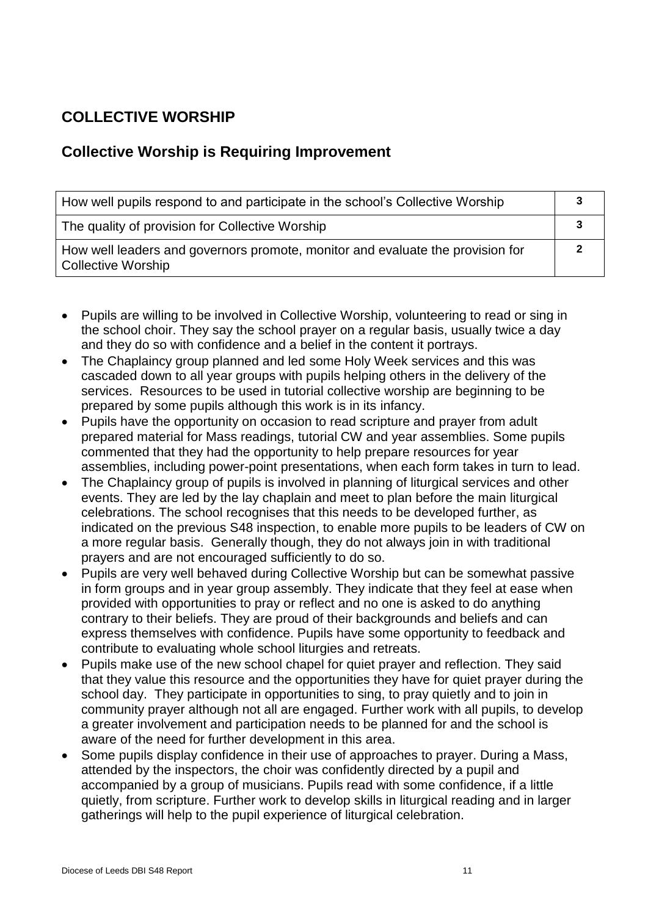# **COLLECTIVE WORSHIP**

### **Collective Worship is Requiring Improvement**

| How well pupils respond to and participate in the school's Collective Worship                               |  |
|-------------------------------------------------------------------------------------------------------------|--|
| The quality of provision for Collective Worship                                                             |  |
| How well leaders and governors promote, monitor and evaluate the provision for<br><b>Collective Worship</b> |  |

- Pupils are willing to be involved in Collective Worship, volunteering to read or sing in the school choir. They say the school prayer on a regular basis, usually twice a day and they do so with confidence and a belief in the content it portrays.
- The Chaplaincy group planned and led some Holy Week services and this was cascaded down to all year groups with pupils helping others in the delivery of the services. Resources to be used in tutorial collective worship are beginning to be prepared by some pupils although this work is in its infancy.
- Pupils have the opportunity on occasion to read scripture and prayer from adult prepared material for Mass readings, tutorial CW and year assemblies. Some pupils commented that they had the opportunity to help prepare resources for year assemblies, including power-point presentations, when each form takes in turn to lead.
- The Chaplaincy group of pupils is involved in planning of liturgical services and other events. They are led by the lay chaplain and meet to plan before the main liturgical celebrations. The school recognises that this needs to be developed further, as indicated on the previous S48 inspection, to enable more pupils to be leaders of CW on a more regular basis. Generally though, they do not always join in with traditional prayers and are not encouraged sufficiently to do so.
- Pupils are very well behaved during Collective Worship but can be somewhat passive in form groups and in year group assembly. They indicate that they feel at ease when provided with opportunities to pray or reflect and no one is asked to do anything contrary to their beliefs. They are proud of their backgrounds and beliefs and can express themselves with confidence. Pupils have some opportunity to feedback and contribute to evaluating whole school liturgies and retreats.
- Pupils make use of the new school chapel for quiet prayer and reflection. They said that they value this resource and the opportunities they have for quiet prayer during the school day. They participate in opportunities to sing, to pray quietly and to join in community prayer although not all are engaged. Further work with all pupils, to develop a greater involvement and participation needs to be planned for and the school is aware of the need for further development in this area.
- Some pupils display confidence in their use of approaches to prayer. During a Mass, attended by the inspectors, the choir was confidently directed by a pupil and accompanied by a group of musicians. Pupils read with some confidence, if a little quietly, from scripture. Further work to develop skills in liturgical reading and in larger gatherings will help to the pupil experience of liturgical celebration.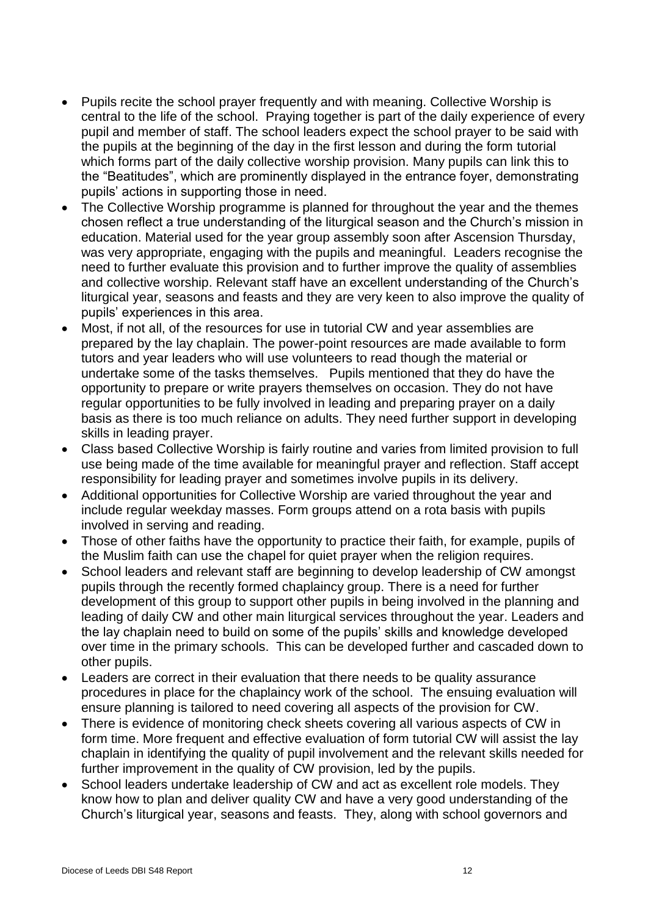- Pupils recite the school prayer frequently and with meaning. Collective Worship is central to the life of the school. Praying together is part of the daily experience of every pupil and member of staff. The school leaders expect the school prayer to be said with the pupils at the beginning of the day in the first lesson and during the form tutorial which forms part of the daily collective worship provision. Many pupils can link this to the "Beatitudes", which are prominently displayed in the entrance foyer, demonstrating pupils' actions in supporting those in need.
- The Collective Worship programme is planned for throughout the year and the themes chosen reflect a true understanding of the liturgical season and the Church's mission in education. Material used for the year group assembly soon after Ascension Thursday, was very appropriate, engaging with the pupils and meaningful. Leaders recognise the need to further evaluate this provision and to further improve the quality of assemblies and collective worship. Relevant staff have an excellent understanding of the Church's liturgical year, seasons and feasts and they are very keen to also improve the quality of pupils' experiences in this area.
- Most, if not all, of the resources for use in tutorial CW and year assemblies are prepared by the lay chaplain. The power-point resources are made available to form tutors and year leaders who will use volunteers to read though the material or undertake some of the tasks themselves. Pupils mentioned that they do have the opportunity to prepare or write prayers themselves on occasion. They do not have regular opportunities to be fully involved in leading and preparing prayer on a daily basis as there is too much reliance on adults. They need further support in developing skills in leading prayer.
- Class based Collective Worship is fairly routine and varies from limited provision to full use being made of the time available for meaningful prayer and reflection. Staff accept responsibility for leading prayer and sometimes involve pupils in its delivery.
- Additional opportunities for Collective Worship are varied throughout the year and include regular weekday masses. Form groups attend on a rota basis with pupils involved in serving and reading.
- Those of other faiths have the opportunity to practice their faith, for example, pupils of the Muslim faith can use the chapel for quiet prayer when the religion requires.
- School leaders and relevant staff are beginning to develop leadership of CW amongst pupils through the recently formed chaplaincy group. There is a need for further development of this group to support other pupils in being involved in the planning and leading of daily CW and other main liturgical services throughout the year. Leaders and the lay chaplain need to build on some of the pupils' skills and knowledge developed over time in the primary schools. This can be developed further and cascaded down to other pupils.
- Leaders are correct in their evaluation that there needs to be quality assurance procedures in place for the chaplaincy work of the school. The ensuing evaluation will ensure planning is tailored to need covering all aspects of the provision for CW.
- There is evidence of monitoring check sheets covering all various aspects of CW in form time. More frequent and effective evaluation of form tutorial CW will assist the lay chaplain in identifying the quality of pupil involvement and the relevant skills needed for further improvement in the quality of CW provision, led by the pupils.
- School leaders undertake leadership of CW and act as excellent role models. They know how to plan and deliver quality CW and have a very good understanding of the Church's liturgical year, seasons and feasts. They, along with school governors and